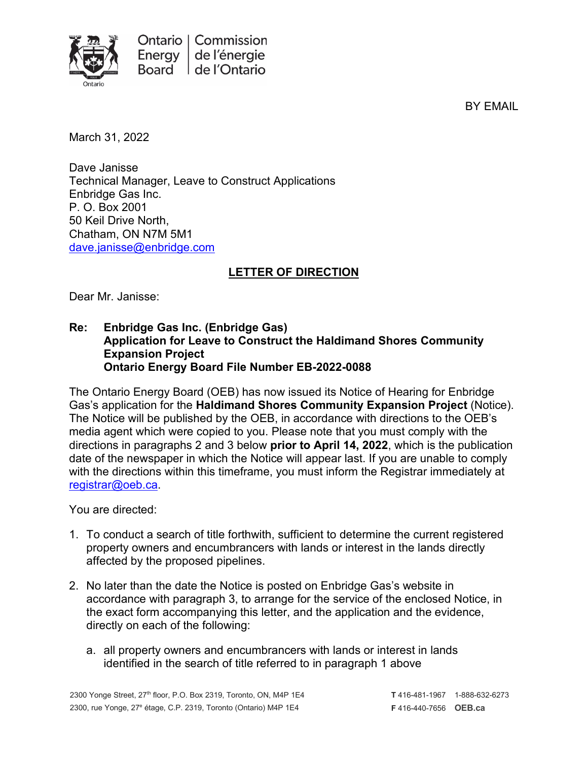

BY EMAIL

March 31, 2022

Dave Janisse Technical Manager, Leave to Construct Applications Enbridge Gas Inc. P. O. Box 2001 50 Keil Drive North, Chatham, ON N7M 5M1 [dave.janisse@enbridge.com](mailto:dave.janisse@enbridge.com)

## **LETTER OF DIRECTION**

Dear Mr. Janisse:

## **Re: Enbridge Gas Inc. (Enbridge Gas) Application for Leave to Construct the Haldimand Shores Community Expansion Project Ontario Energy Board File Number EB-2022-0088**

The Ontario Energy Board (OEB) has now issued its Notice of Hearing for Enbridge Gas's application for the **Haldimand Shores Community Expansion Project** (Notice). The Notice will be published by the OEB, in accordance with directions to the OEB's media agent which were copied to you. Please note that you must comply with the directions in paragraphs 2 and 3 below **prior to April 14, 2022**, which is the publication date of the newspaper in which the Notice will appear last. If you are unable to comply with the directions within this timeframe, you must inform the Registrar immediately at [registrar@oeb.ca.](mailto:registrar@oeb.ca)

You are directed:

- 1. To conduct a search of title forthwith, sufficient to determine the current registered property owners and encumbrancers with lands or interest in the lands directly affected by the proposed pipelines.
- 2. No later than the date the Notice is posted on Enbridge Gas's website in accordance with paragraph 3, to arrange for the service of the enclosed Notice, in the exact form accompanying this letter, and the application and the evidence, directly on each of the following:
	- a. all property owners and encumbrancers with lands or interest in lands identified in the search of title referred to in paragraph 1 above